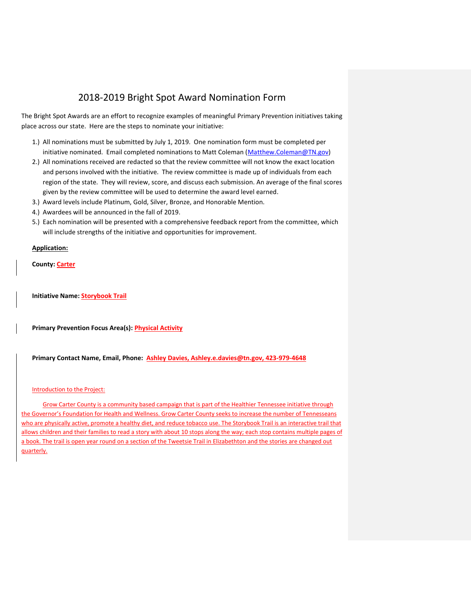# 2018-2019 Bright Spot Award Nomination Form

The Bright Spot Awards are an effort to recognize examples of meaningful Primary Prevention initiatives taking place across our state. Here are the steps to nominate your initiative:

- 1.) All nominations must be submitted by July 1, 2019. One nomination form must be completed per initiative nominated. Email completed nominations to Matt Coleman [\(Matthew.Coleman@TN.gov\)](mailto:Matthew.Coleman@TN.gov)
- 2.) All nominations received are redacted so that the review committee will not know the exact location and persons involved with the initiative. The review committee is made up of individuals from each region of the state. They will review, score, and discuss each submission. An average of the final scores given by the review committee will be used to determine the award level earned.
- 3.) Award levels include Platinum, Gold, Silver, Bronze, and Honorable Mention.
- 4.) Awardees will be announced in the fall of 2019.
- 5.) Each nomination will be presented with a comprehensive feedback report from the committee, which will include strengths of the initiative and opportunities for improvement.

## **Application:**

**County: Carter**

**Initiative Name: Storybook Trail**

**Primary Prevention Focus Area(s): Physical Activity**

**Primary Contact Name, Email, Phone: Ashley Davies[, Ashley.e.davies@tn.gov,](mailto:Ashley.e.davies@tn.gov) 423-979-4648**

### Introduction to the Project:

Grow Carter County is a community based campaign that is part of the Healthier Tennessee initiative through the Governor's Foundation for Health and Wellness. Grow Carter County seeks to increase the number of Tennesseans who are physically active, promote a healthy diet, and reduce tobacco use. The Storybook Trail is an interactive trail that allows children and their families to read a story with about 10 stops along the way; each stop contains multiple pages of a book. The trail is open year round on a section of the Tweetsie Trail in Elizabethton and the stories are changed out quarterly.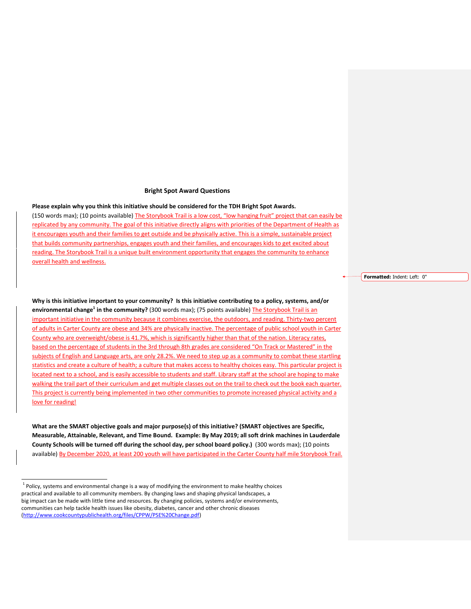#### **Bright Spot Award Questions**

#### **Please explain why you think this initiative should be considered for the TDH Bright Spot Awards.**

(150 words max); (10 points available) The Storybook Trail is a low cost, "low hanging fruit" project that can easily be replicated by any community. The goal of this initiative directly aligns with priorities of the Department of Health as it encourages youth and their families to get outside and be physically active. This is a simple, sustainable project that builds community partnerships, engages youth and their families, and encourages kids to get excited about reading. The Storybook Trail is a unique built environment opportunity that engages the community to enhance overall health and wellness.

**Why is this initiative important to your community? Is this initiative contributing to a policy, systems, and/or environmental change<sup>1</sup> in the community?** (300 words max); (75 points available) The Storybook Trail is an important initiative in the community because it combines exercise, the outdoors, and reading. Thirty-two percent of adults in Carter County are obese and 34% are physically inactive. The percentage of public school youth in Carter County who are overweight/obese is 41.7%, which is significantly higher than that of the nation. Literacy rates, based on the percentage of students in the 3rd through 8th grades are considered "On Track or Mastered" in the subjects of English and Language arts, are only 28.2%. We need to step up as a community to combat these startling statistics and create a culture of health; a culture that makes access to healthy choices easy. This particular project is located next to a school, and is easily accessible to students and staff. Library staff at the school are hoping to make walking the trail part of their curriculum and get multiple classes out on the trail to check out the book each quarter. This project is currently being implemented in two other communities to promote increased physical activity and a love for reading!

**What are the SMART objective goals and major purpose(s) of this initiative? (SMART objectives are Specific, Measurable, Attainable, Relevant, and Time Bound. Example: By May 2019; all soft drink machines in Lauderdale County Schools will be turned off during the school day, per school board policy.)** (300 words max); (10 points available) By December 2020, at least 200 youth will have participated in the Carter County half mile Storybook Trail. **Formatted:** Indent: Left: 0"

 1 Policy, systems and environmental change is a way of modifying the environment to make healthy choices practical and available to all community members. By changing laws and shaping physical landscapes, a big impact can be made with little time and resources. By changing policies, systems and/or environments, communities can help tackle health issues like obesity, diabetes, cancer and other chronic diseases [\(http://www.cookcountypublichealth.org/files/CPPW/PSE%20Change.pdf\)](http://www.cookcountypublichealth.org/files/CPPW/PSE%20Change.pdf)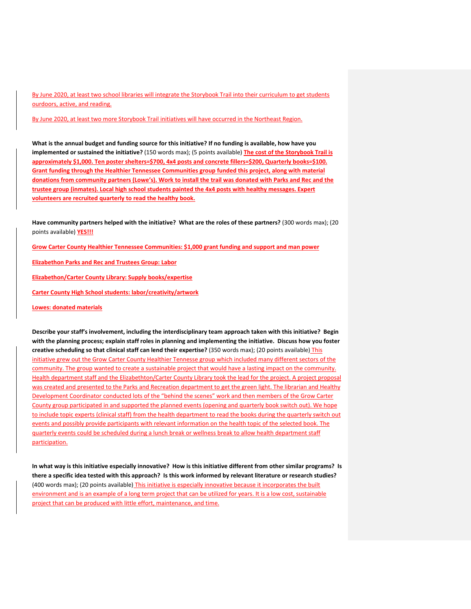By June 2020, at least two school libraries will integrate the Storybook Trail into their curriculum to get students ourdoors, active, and reading.

By June 2020, at least two more Storybook Trail initiatives will have occurred in the Northeast Region.

**What is the annual budget and funding source for this initiative? If no funding is available, how have you implemented or sustained the initiative?** (150 words max); (5 points available) **The cost of the Storybook Trail is approximately \$1,000. Ten poster shelters=\$700, 4x4 posts and concrete fillers=\$200, Quarterly books=\$100. Grant funding through the Healthier Tennessee Communities group funded this project, along with material donations from community partners (Lowe's). Work to install the trail was donated with Parks and Rec and the trustee group (inmates). Local high school students painted the 4x4 posts with healthy messages. Expert volunteers are recruited quarterly to read the healthy book.** 

**Have community partners helped with the initiative? What are the roles of these partners?** (300 words max); (20 points available) **YES!!!** 

**Grow Carter County Healthier Tennessee Communities: \$1,000 grant funding and support and man power**

**Elizabethon Parks and Rec and Trustees Group: Labor**

**Elizabethon/Carter County Library: Supply books/expertise**

**Carter County High School students: labor/creativity/artwork**

#### **Lowes: donated materials**

**Describe your staff's involvement, including the interdisciplinary team approach taken with this initiative? Begin with the planning process; explain staff roles in planning and implementing the initiative. Discuss how you foster creative scheduling so that clinical staff can lend their expertise?** (350 words max); (20 points available) This initiative grew out the Grow Carter County Healthier Tennesse group which included many different sectors of the community. The group wanted to create a sustainable project that would have a lasting impact on the community. Health department staff and the Elizabethton/Carter County Library took the lead for the project. A project proposal was created and presented to the Parks and Recreation department to get the green light. The librarian and Healthy Development Coordinator conducted lots of the "behind the scenes" work and then members of the Grow Carter County group participated in and supported the planned events (opening and quarterly book switch out). We hope to include topic experts (clinical staff) from the health department to read the books during the quarterly switch out events and possibly provide participants with relevant information on the health topic of the selected book. The quarterly events could be scheduled during a lunch break or wellness break to allow health department staff participation.

**In what way is this initiative especially innovative? How is this initiative different from other similar programs? Is there a specific idea tested with this approach? Is this work informed by relevant literature or research studies?**  (400 words max); (20 points available) This initiative is especially innovative because it incorporates the built environment and is an example of a long term project that can be utilized for years. It is a low cost, sustainable project that can be produced with little effort, maintenance, and time.